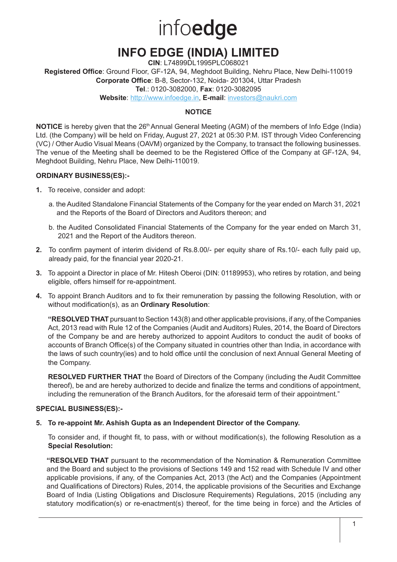# infoedge

# **INFO EDGE (INDIA) LIMITED**

**CIN**: L74899DL1995PLC068021

**Registered Office**: Ground Floor, GF-12A, 94, Meghdoot Building, Nehru Place, New Delhi-110019 **Corporate Office**: B-8, Sector-132, Noida- 201304, Uttar Pradesh

**Tel**.: 0120-3082000, **Fax**: 0120-3082095

**Website**: http://www.infoedge.in, **E-mail**: investors@naukri.com

# **NOTICE**

**NOTICE** is hereby given that the 26<sup>th</sup> Annual General Meeting (AGM) of the members of Info Edge (India) Ltd. (the Company) will be held on Friday, August 27, 2021 at 05:30 P.M. IST through Video Conferencing (VC) / Other Audio Visual Means (OAVM) organized by the Company, to transact the following businesses. The venue of the Meeting shall be deemed to be the Registered Office of the Company at GF-12A, 94, Meghdoot Building, Nehru Place, New Delhi-110019.

# **ORDINARY BUSINESS(ES):-**

- **1.** To receive, consider and adopt:
	- a. the Audited Standalone Financial Statements of the Company for the year ended on March 31, 2021 and the Reports of the Board of Directors and Auditors thereon; and
	- b. the Audited Consolidated Financial Statements of the Company for the year ended on March 31, 2021 and the Report of the Auditors thereon.
- **2.** To confirm payment of interim dividend of Rs.8.00/- per equity share of Rs.10/- each fully paid up, already paid, for the financial year 2020-21.
- **3.** To appoint a Director in place of Mr. Hitesh Oberoi (DIN: 01189953), who retires by rotation, and being eligible, offers himself for re-appointment.
- **4.** To appoint Branch Auditors and to fix their remuneration by passing the following Resolution, with or without modification(s), as an **Ordinary Resolution**:

**"RESOLVED THAT** pursuant to Section 143(8) and other applicable provisions, if any, of the Companies Act, 2013 read with Rule 12 of the Companies (Audit and Auditors) Rules, 2014, the Board of Directors of the Company be and are hereby authorized to appoint Auditors to conduct the audit of books of accounts of Branch Office(s) of the Company situated in countries other than India, in accordance with the laws of such country(ies) and to hold office until the conclusion of next Annual General Meeting of the Company.

**RESOLVED FURTHER THAT** the Board of Directors of the Company (including the Audit Committee thereof), be and are hereby authorized to decide and finalize the terms and conditions of appointment, including the remuneration of the Branch Auditors, for the aforesaid term of their appointment."

# **SPECIAL BUSINESS(ES):-**

#### **5. To re-appoint Mr. Ashish Gupta as an Independent Director of the Company.**

To consider and, if thought fit, to pass, with or without modification(s), the following Resolution as a **Special Resolution:**

**"RESOLVED THAT** pursuant to the recommendation of the Nomination & Remuneration Committee and the Board and subject to the provisions of Sections 149 and 152 read with Schedule IV and other applicable provisions, if any, of the Companies Act, 2013 (the Act) and the Companies (Appointment and Qualifications of Directors) Rules, 2014, the applicable provisions of the Securities and Exchange Board of India (Listing Obligations and Disclosure Requirements) Regulations, 2015 (including any statutory modification(s) or re-enactment(s) thereof, for the time being in force) and the Articles of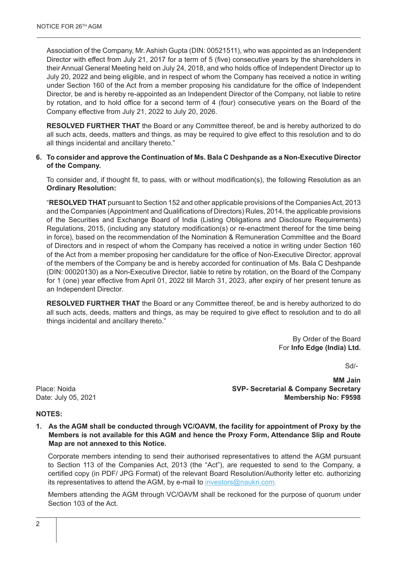Association of the Company, Mr. Ashish Gupta (DIN: 00521511), who was appointed as an Independent Director with effect from July 21, 2017 for a term of 5 (five) consecutive years by the shareholders in their Annual General Meeting held on July 24, 2018, and who holds office of Independent Director up to July 20, 2022 and being eligible, and in respect of whom the Company has received a notice in writing under Section 160 of the Act from a member proposing his candidature for the office of Independent Director, be and is hereby re-appointed as an Independent Director of the Company, not liable to retire by rotation, and to hold office for a second term of 4 (four) consecutive years on the Board of the Company effective from July 21, 2022 to July 20, 2026.

**RESOLVED FURTHER THAT** the Board or any Committee thereof, be and is hereby authorized to do all such acts, deeds, matters and things, as may be required to give effect to this resolution and to do all things incidental and ancillary thereto."

#### **6. To consider and approve the Continuation of Ms. Bala C Deshpande as a Non-Executive Director of the Company.**

To consider and, if thought fit, to pass, with or without modification(s), the following Resolution as an **Ordinary Resolution:**

"**RESOLVED THAT** pursuant to Section 152 and other applicable provisions of the Companies Act, 2013 and the Companies (Appointment and Qualifications of Directors) Rules, 2014, the applicable provisions of the Securities and Exchange Board of India (Listing Obligations and Disclosure Requirements) Regulations, 2015, (including any statutory modification(s) or re-enactment thereof for the time being in force), based on the recommendation of the Nomination & Remuneration Committee and the Board of Directors and in respect of whom the Company has received a notice in writing under Section 160 of the Act from a member proposing her candidature for the office of Non-Executive Director, approval of the members of the Company be and is hereby accorded for continuation of Ms. Bala C Deshpande (DIN: 00020130) as a Non-Executive Director, liable to retire by rotation, on the Board of the Company for 1 (one) year effective from April 01, 2022 till March 31, 2023, after expiry of her present tenure as an Independent Director.

**RESOLVED FURTHER THAT** the Board or any Committee thereof, be and is hereby authorized to do all such acts, deeds, matters and things, as may be required to give effect to resolution and to do all things incidental and ancillary thereto."

> By Order of the Board For **Info Edge (India) Ltd.**

> > Sd/-

**MM Jain**  Place: Noida **SVP- Secretarial & Company Secretary**  Date: July 05, 2021 **Membership No: F9598** 

#### **NOTES:**

**1. As the AGM shall be conducted through VC/OAVM, the facility for appointment of Proxy by the Members is not available for this AGM and hence the Proxy Form, Attendance Slip and Route Map are not annexed to this Notice.** 

Corporate members intending to send their authorised representatives to attend the AGM pursuant to Section 113 of the Companies Act, 2013 (the "Act"), are requested to send to the Company, a certified copy (in PDF/ JPG Format) of the relevant Board Resolution/Authority letter etc. authorizing its representatives to attend the AGM, by e-mail to investors@naukri.com.

Members attending the AGM through VC/OAVM shall be reckoned for the purpose of quorum under Section 103 of the Act.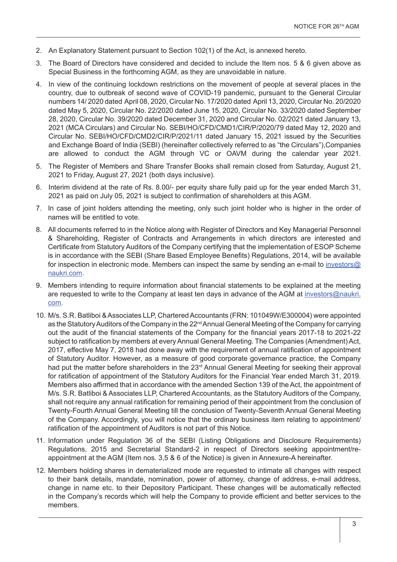- 2. An Explanatory Statement pursuant to Section 102(1) of the Act, is annexed hereto.
- 3. The Board of Directors have considered and decided to include the Item nos. 5 & 6 given above as Special Business in the forthcoming AGM, as they are unavoidable in nature.
- 4. In view of the continuing lockdown restrictions on the movement of people at several places in the country, due to outbreak of second wave of COVID-19 pandemic, pursuant to the General Circular numbers 14/ 2020 dated April 08, 2020, Circular No. 17/2020 dated April 13, 2020, Circular No. 20/2020 dated May 5, 2020, Circular No. 22/2020 dated June 15, 2020, Circular No. 33/2020 dated September 28, 2020, Circular No. 39/2020 dated December 31, 2020 and Circular No. 02/2021 dated January 13, 2021 (MCA Circulars) and Circular No. SEBI/HO/CFD/CMD1/CIR/P/2020/79 dated May 12, 2020 and Circular No. SEBI/HO/CFD/CMD2/CIR/P/2021/11 dated January 15, 2021 issued by the Securities and Exchange Board of India (SEBI) (hereinafter collectively referred to as "the Circulars"),Companies are allowed to conduct the AGM through VC or OAVM during the calendar year 2021.
- 5. The Register of Members and Share Transfer Books shall remain closed from Saturday, August 21, 2021 to Friday, August 27, 2021 (both days inclusive).
- 6. Interim dividend at the rate of Rs. 8.00/- per equity share fully paid up for the year ended March 31, 2021 as paid on July 05, 2021 is subject to confirmation of shareholders at this AGM.
- 7. In case of joint holders attending the meeting, only such joint holder who is higher in the order of names will be entitled to vote.
- 8. All documents referred to in the Notice along with Register of Directors and Key Managerial Personnel & Shareholding, Register of Contracts and Arrangements in which directors are interested and Certificate from Statutory Auditors of the Company certifying that the implementation of ESOP Scheme is in accordance with the SEBI (Share Based Employee Benefits) Regulations, 2014, will be available for inspection in electronic mode. Members can inspect the same by sending an e-mail to investors@ naukri.com.
- 9. Members intending to require information about financial statements to be explained at the meeting are requested to write to the Company at least ten days in advance of the AGM at investors@naukri. com.
- 10. M/s. S.R. Batliboi & Associates LLP, Chartered Accountants (FRN: 101049W/E300004) were appointed as the Statutory Auditors of the Company in the 22nd Annual General Meeting of the Company for carrying out the audit of the financial statements of the Company for the financial years 2017-18 to 2021-22 subject to ratification by members at every Annual General Meeting. The Companies (Amendment) Act, 2017, effective May 7, 2018 had done away with the requirement of annual ratification of appointment of Statutory Auditor. However, as a measure of good corporate governance practice, the Company had put the matter before shareholders in the 23<sup>rd</sup> Annual General Meeting for seeking their approval for ratification of appointment of the Statutory Auditors for the Financial Year ended March 31, 2019. Members also affirmed that in accordance with the amended Section 139 of the Act, the appointment of M/s. S.R. Batliboi & Associates LLP, Chartered Accountants, as the Statutory Auditors of the Company, shall not require any annual ratification for remaining period of their appointment from the conclusion of Twenty-Fourth Annual General Meeting till the conclusion of Twenty-Seventh Annual General Meeting of the Company. Accordingly, you will notice that the ordinary business item relating to appointment/ ratification of the appointment of Auditors is not part of this Notice.
- 11. Information under Regulation 36 of the SEBI (Listing Obligations and Disclosure Requirements) Regulations, 2015 and Secretarial Standard-2 in respect of Directors seeking appointment/reappointment at the AGM (Item nos. 3,5 & 6 of the Notice) is given in Annexure-A hereinafter.
- 12. Members holding shares in dematerialized mode are requested to intimate all changes with respect to their bank details, mandate, nomination, power of attorney, change of address, e-mail address, change in name etc. to their Depository Participant. These changes will be automatically reflected in the Company's records which will help the Company to provide efficient and better services to the members.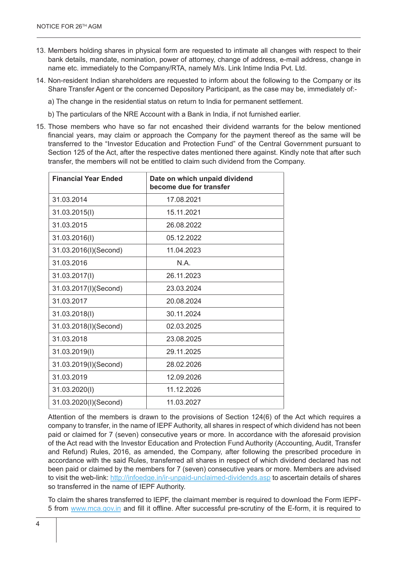- 13. Members holding shares in physical form are requested to intimate all changes with respect to their bank details, mandate, nomination, power of attorney, change of address, e-mail address, change in name etc. immediately to the Company/RTA, namely M/s. Link Intime India Pvt. Ltd.
- 14. Non-resident Indian shareholders are requested to inform about the following to the Company or its Share Transfer Agent or the concerned Depository Participant, as the case may be, immediately of:
	- a) The change in the residential status on return to India for permanent settlement.
	- b) The particulars of the NRE Account with a Bank in India, if not furnished earlier.
- 15. Those members who have so far not encashed their dividend warrants for the below mentioned financial years, may claim or approach the Company for the payment thereof as the same will be transferred to the "Investor Education and Protection Fund" of the Central Government pursuant to Section 125 of the Act, after the respective dates mentioned there against. Kindly note that after such transfer, the members will not be entitled to claim such dividend from the Company.

| <b>Financial Year Ended</b> | Date on which unpaid dividend<br>become due for transfer |
|-----------------------------|----------------------------------------------------------|
| 31.03.2014                  | 17.08.2021                                               |
| 31.03.2015(I)               | 15.11.2021                                               |
| 31.03.2015                  | 26.08.2022                                               |
| 31.03.2016(I)               | 05.12.2022                                               |
| 31.03.2016(I)(Second)       | 11.04.2023                                               |
| 31.03.2016                  | N A                                                      |
| 31.03.2017(I)               | 26.11.2023                                               |
| 31.03.2017(I)(Second)       | 23.03.2024                                               |
| 31.03.2017                  | 20.08.2024                                               |
| 31.03.2018(I)               | 30.11.2024                                               |
| 31.03.2018(I)(Second)       | 02.03.2025                                               |
| 31.03.2018                  | 23.08.2025                                               |
| 31.03.2019(I)               | 29.11.2025                                               |
| 31.03.2019(I)(Second)       | 28.02.2026                                               |
| 31.03.2019                  | 12.09.2026                                               |
| 31.03.2020(I)               | 11.12.2026                                               |
| 31.03.2020(I)(Second)       | 11.03.2027                                               |

Attention of the members is drawn to the provisions of Section 124(6) of the Act which requires a company to transfer, in the name of IEPF Authority, all shares in respect of which dividend has not been paid or claimed for 7 (seven) consecutive years or more. In accordance with the aforesaid provision of the Act read with the Investor Education and Protection Fund Authority (Accounting, Audit, Transfer and Refund) Rules, 2016, as amended, the Company, after following the prescribed procedure in accordance with the said Rules, transferred all shares in respect of which dividend declared has not been paid or claimed by the members for 7 (seven) consecutive years or more. Members are advised to visit the web-link: http://infoedge.in/ir-unpaid-unclaimed-dividends.asp to ascertain details of shares so transferred in the name of IEPF Authority.

To claim the shares transferred to IEPF, the claimant member is required to download the Form IEPF-5 from www.mca.gov.in and fill it offline. After successful pre-scrutiny of the E-form, it is required to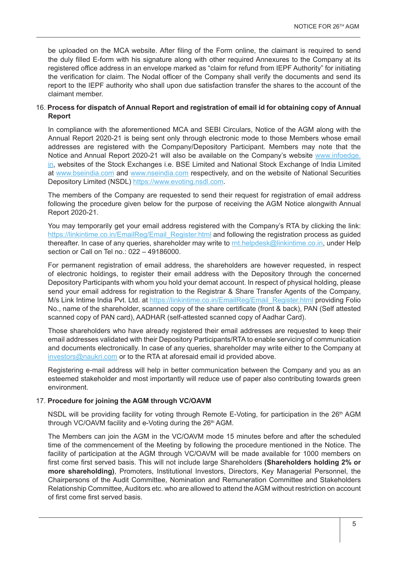be uploaded on the MCA website. After filing of the Form online, the claimant is required to send the duly filled E-form with his signature along with other required Annexures to the Company at its registered office address in an envelope marked as "claim for refund from IEPF Authority" for initiating the verification for claim. The Nodal officer of the Company shall verify the documents and send its report to the IEPF authority who shall upon due satisfaction transfer the shares to the account of the claimant member.

# 16. **Process for dispatch of Annual Report and registration of email id for obtaining copy of Annual Report**

In compliance with the aforementioned MCA and SEBI Circulars, Notice of the AGM along with the Annual Report 2020-21 is being sent only through electronic mode to those Members whose email addresses are registered with the Company/Depository Participant. Members may note that the Notice and Annual Report 2020-21 will also be available on the Company's website www.infoedge. in, websites of the Stock Exchanges i.e. BSE Limited and National Stock Exchange of India Limited at www.bseindia.com and www.nseindia.com respectively, and on the website of National Securities Depository Limited (NSDL) https://www.evoting.nsdl.com.

The members of the Company are requested to send their request for registration of email address following the procedure given below for the purpose of receiving the AGM Notice alongwith Annual Report 2020-21.

You may temporarily get your email address registered with the Company's RTA by clicking the link: https://linkintime.co.in/EmailReg/Email\_Register.html and following the registration process as guided thereafter. In case of any queries, shareholder may write to **rnt.helpdesk@linkintime.co.in**, under Help section or Call on Tel no.: 022 – 49186000.

For permanent registration of email address, the shareholders are however requested, in respect of electronic holdings, to register their email address with the Depository through the concerned Depository Participants with whom you hold your demat account. In respect of physical holding, please send your email address for registration to the Registrar & Share Transfer Agents of the Company, M/s Link Intime India Pvt. Ltd. at https://linkintime.co.in/EmailReg/Email\_Register.html providing Folio No., name of the shareholder, scanned copy of the share certificate (front & back), PAN (Self attested scanned copy of PAN card), AADHAR (self-attested scanned copy of Aadhar Card).

Those shareholders who have already registered their email addresses are requested to keep their email addresses validated with their Depository Participants/RTA to enable servicing of communication and documents electronically. In case of any queries, shareholder may write either to the Company at investors@naukri.com or to the RTA at aforesaid email id provided above.

Registering e-mail address will help in better communication between the Company and you as an esteemed stakeholder and most importantly will reduce use of paper also contributing towards green environment.

# 17. **Procedure for joining the AGM through VC/OAVM**

NSDL will be providing facility for voting through Remote E-Voting, for participation in the  $26<sup>th</sup>$  AGM through VC/OAVM facility and e-Voting during the 26<sup>th</sup> AGM.

The Members can join the AGM in the VC/OAVM mode 15 minutes before and after the scheduled time of the commencement of the Meeting by following the procedure mentioned in the Notice. The facility of participation at the AGM through VC/OAVM will be made available for 1000 members on first come first served basis. This will not include large Shareholders **(Shareholders holding 2% or more shareholding)**, Promoters, Institutional Investors, Directors, Key Managerial Personnel, the Chairpersons of the Audit Committee, Nomination and Remuneration Committee and Stakeholders Relationship Committee, Auditors etc. who are allowed to attend the AGM without restriction on account of first come first served basis.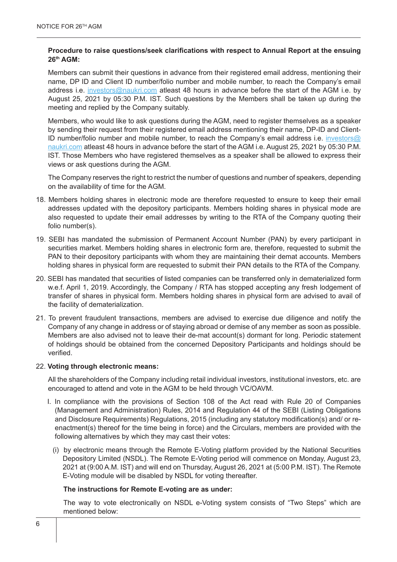# **Procedure to raise questions/seek clarifications with respect to Annual Report at the ensuing 26th AGM:**

Members can submit their questions in advance from their registered email address, mentioning their name, DP ID and Client ID number/folio number and mobile number, to reach the Company's email address i.e. investors@naukri.com atleast 48 hours in advance before the start of the AGM i.e. by August 25, 2021 by 05:30 P.M. IST. Such questions by the Members shall be taken up during the meeting and replied by the Company suitably.

Members, who would like to ask questions during the AGM, need to register themselves as a speaker by sending their request from their registered email address mentioning their name, DP-ID and Client-ID number/folio number and mobile number, to reach the Company's email address i.e. investors@ naukri.com atleast 48 hours in advance before the start of the AGM i.e. August 25, 2021 by 05:30 P.M. IST. Those Members who have registered themselves as a speaker shall be allowed to express their views or ask questions during the AGM.

The Company reserves the right to restrict the number of questions and number of speakers, depending on the availability of time for the AGM.

- 18. Members holding shares in electronic mode are therefore requested to ensure to keep their email addresses updated with the depository participants. Members holding shares in physical mode are also requested to update their email addresses by writing to the RTA of the Company quoting their folio number(s).
- 19. SEBI has mandated the submission of Permanent Account Number (PAN) by every participant in securities market. Members holding shares in electronic form are, therefore, requested to submit the PAN to their depository participants with whom they are maintaining their demat accounts. Members holding shares in physical form are requested to submit their PAN details to the RTA of the Company.
- 20. SEBI has mandated that securities of listed companies can be transferred only in dematerialized form w.e.f. April 1, 2019. Accordingly, the Company / RTA has stopped accepting any fresh lodgement of transfer of shares in physical form. Members holding shares in physical form are advised to avail of the facility of dematerialization.
- 21. To prevent fraudulent transactions, members are advised to exercise due diligence and notify the Company of any change in address or of staying abroad or demise of any member as soon as possible. Members are also advised not to leave their de-mat account(s) dormant for long. Periodic statement of holdings should be obtained from the concerned Depository Participants and holdings should be verified.

#### 22. **Voting through electronic means:**

All the shareholders of the Company including retail individual investors, institutional investors, etc. are encouraged to attend and vote in the AGM to be held through VC/OAVM.

- I. In compliance with the provisions of Section 108 of the Act read with Rule 20 of Companies (Management and Administration) Rules, 2014 and Regulation 44 of the SEBI (Listing Obligations and Disclosure Requirements) Regulations, 2015 (including any statutory modification(s) and/ or reenactment(s) thereof for the time being in force) and the Circulars, members are provided with the following alternatives by which they may cast their votes:
	- (i) by electronic means through the Remote E-Voting platform provided by the National Securities Depository Limited (NSDL). The Remote E-Voting period will commence on Monday, August 23, 2021 at (9:00 A.M. IST) and will end on Thursday, August 26, 2021 at (5:00 P.M. IST). The Remote E-Voting module will be disabled by NSDL for voting thereafter.

#### **The instructions for Remote E-voting are as under:**

The way to vote electronically on NSDL e-Voting system consists of "Two Steps" which are mentioned below: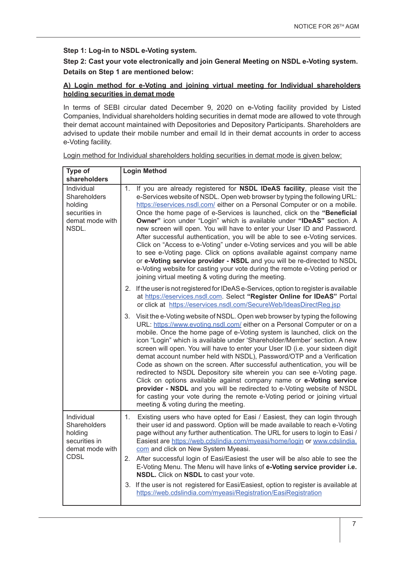# **Step 1: Log-in to NSDL e-Voting system.**

**Step 2: Cast your vote electronically and join General Meeting on NSDL e-Voting system. Details on Step 1 are mentioned below:**

# **A) Login method for e-Voting and joining virtual meeting for Individual shareholders holding securities in demat mode**

In terms of SEBI circular dated December 9, 2020 on e-Voting facility provided by Listed Companies, Individual shareholders holding securities in demat mode are allowed to vote through their demat account maintained with Depositories and Depository Participants. Shareholders are advised to update their mobile number and email Id in their demat accounts in order to access e-Voting facility.

| Type of<br><b>Login Method</b><br>shareholders                                                                                                                                                                                                                                                                                                                                                                                                                                                                                                                                                                                                                                                                                                                                                                                                                                                                                |  |
|-------------------------------------------------------------------------------------------------------------------------------------------------------------------------------------------------------------------------------------------------------------------------------------------------------------------------------------------------------------------------------------------------------------------------------------------------------------------------------------------------------------------------------------------------------------------------------------------------------------------------------------------------------------------------------------------------------------------------------------------------------------------------------------------------------------------------------------------------------------------------------------------------------------------------------|--|
| If you are already registered for NSDL IDeAS facility, please visit the<br>1.<br>e-Services website of NSDL. Open web browser by typing the following URL:<br>https://eservices.nsdl.com/ either on a Personal Computer or on a mobile.<br>Once the home page of e-Services is launched, click on the "Beneficial<br>Owner" icon under "Login" which is available under "IDeAS" section. A<br>new screen will open. You will have to enter your User ID and Password.<br>After successful authentication, you will be able to see e-Voting services.<br>Click on "Access to e-Voting" under e-Voting services and you will be able<br>to see e-Voting page. Click on options available against company name<br>or e-Voting service provider - NSDL and you will be re-directed to NSDL<br>e-Voting website for casting your vote during the remote e-Voting period or<br>joining virtual meeting & voting during the meeting. |  |
| 2. If the user is not registered for IDeAS e-Services, option to register is available<br>at https://eservices.nsdl.com. Select "Register Online for IDeAS" Portal<br>or click at https://eservices.nsdl.com/SecureWeb/IdeasDirectReg.jsp                                                                                                                                                                                                                                                                                                                                                                                                                                                                                                                                                                                                                                                                                     |  |
| Visit the e-Voting website of NSDL. Open web browser by typing the following<br>3.<br>URL: https://www.evoting.nsdl.com/ either on a Personal Computer or on a<br>mobile. Once the home page of e-Voting system is launched, click on the<br>icon "Login" which is available under 'Shareholder/Member' section. A new<br>screen will open. You will have to enter your User ID (i.e. your sixteen digit<br>demat account number held with NSDL), Password/OTP and a Verification<br>Code as shown on the screen. After successful authentication, you will be<br>redirected to NSDL Depository site wherein you can see e-Voting page.<br>Click on options available against company name or e-Voting service<br>provider - NSDL and you will be redirected to e-Voting website of NSDL<br>for casting your vote during the remote e-Voting period or joining virtual<br>meeting & voting during the meeting.                |  |
| 1.<br>Existing users who have opted for Easi / Easiest, they can login through<br>their user id and password. Option will be made available to reach e-Voting<br>page without any further authentication. The URL for users to login to Easi /<br>Easiest are https://web.cdslindia.com/myeasi/home/login or www.cdslindia.<br>com and click on New System Myeasi.<br>After successful login of Easi/Easiest the user will be also able to see the<br>2.<br>E-Voting Menu. The Menu will have links of e-Voting service provider i.e.<br>NSDL. Click on NSDL to cast your vote.<br>3. If the user is not registered for Easi/Easiest, option to register is available at<br>https://web.cdslindia.com/myeasi/Registration/EasiRegistration                                                                                                                                                                                    |  |
|                                                                                                                                                                                                                                                                                                                                                                                                                                                                                                                                                                                                                                                                                                                                                                                                                                                                                                                               |  |

Login method for Individual shareholders holding securities in demat mode is given below: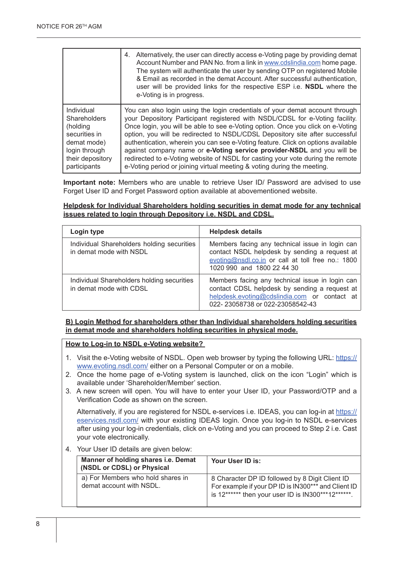|                     | Alternatively, the user can directly access e-Voting page by providing demat<br>4.<br>Account Number and PAN No. from a link in www.cdslindia.com home page.<br>The system will authenticate the user by sending OTP on registered Mobile<br>& Email as recorded in the demat Account. After successful authentication,<br>user will be provided links for the respective ESP i.e. <b>NSDL</b> where the<br>e-Voting is in progress. |
|---------------------|--------------------------------------------------------------------------------------------------------------------------------------------------------------------------------------------------------------------------------------------------------------------------------------------------------------------------------------------------------------------------------------------------------------------------------------|
| Individual          | You can also login using the login credentials of your demat account through                                                                                                                                                                                                                                                                                                                                                         |
| <b>Shareholders</b> | your Depository Participant registered with NSDL/CDSL for e-Voting facility.                                                                                                                                                                                                                                                                                                                                                         |
| (holding            | Once login, you will be able to see e-Voting option. Once you click on e-Voting                                                                                                                                                                                                                                                                                                                                                      |
| securities in       | option, you will be redirected to NSDL/CDSL Depository site after successful                                                                                                                                                                                                                                                                                                                                                         |
| demat mode)         | authentication, wherein you can see e-Voting feature. Click on options available                                                                                                                                                                                                                                                                                                                                                     |
| login through       | against company name or e-Voting service provider-NSDL and you will be                                                                                                                                                                                                                                                                                                                                                               |
| their depository    | redirected to e-Voting website of NSDL for casting your vote during the remote                                                                                                                                                                                                                                                                                                                                                       |
| participants        | e-Voting period or joining virtual meeting & voting during the meeting.                                                                                                                                                                                                                                                                                                                                                              |

**Important note:** Members who are unable to retrieve User ID/ Password are advised to use Forget User ID and Forget Password option available at abovementioned website.

#### **Helpdesk for Individual Shareholders holding securities in demat mode for any technical issues related to login through Depository i.e. NSDL and CDSL.**

| Login type                                                            | <b>Helpdesk details</b><br>Members facing any technical issue in login can<br>contact NSDL helpdesk by sending a request at<br>evoting@nsdl.co.in or call at toll free no.: 1800<br>1020 990 and 1800 22 44 30<br>Members facing any technical issue in login can<br>contact CDSL helpdesk by sending a request at<br>helpdesk.evoting@cdslindia.com or contact at<br>022-23058738 or 022-23058542-43 |  |
|-----------------------------------------------------------------------|-------------------------------------------------------------------------------------------------------------------------------------------------------------------------------------------------------------------------------------------------------------------------------------------------------------------------------------------------------------------------------------------------------|--|
| Individual Shareholders holding securities<br>in demat mode with NSDL |                                                                                                                                                                                                                                                                                                                                                                                                       |  |
| Individual Shareholders holding securities<br>in demat mode with CDSL |                                                                                                                                                                                                                                                                                                                                                                                                       |  |

# **B) Login Method for shareholders other than Individual shareholders holding securities in demat mode and shareholders holding securities in physical mode.**

#### **How to Log-in to NSDL e-Voting website?**

- 1. Visit the e-Voting website of NSDL. Open web browser by typing the following URL: https:// www.evoting.nsdl.com/ either on a Personal Computer or on a mobile.
- 2. Once the home page of e-Voting system is launched, click on the icon "Login" which is available under 'Shareholder/Member' section.
- 3. A new screen will open. You will have to enter your User ID, your Password/OTP and a Verification Code as shown on the screen.

Alternatively, if you are registered for NSDL e-services i.e. IDEAS, you can log-in at https:// eservices.nsdl.com/ with your existing IDEAS login. Once you log-in to NSDL e-services after using your log-in credentials, click on e-Voting and you can proceed to Step 2 i.e. Cast your vote electronically.

4. Your User ID details are given below:

| Manner of holding shares i.e. Demat<br>(NSDL or CDSL) or Physical | Your User ID is:                                                                                                                                             |
|-------------------------------------------------------------------|--------------------------------------------------------------------------------------------------------------------------------------------------------------|
| a) For Members who hold shares in<br>demat account with NSDL.     | 8 Character DP ID followed by 8 Digit Client ID<br>For example if your DP ID is IN300*** and Client ID<br>is 12****** then your user ID is IN300***12******. |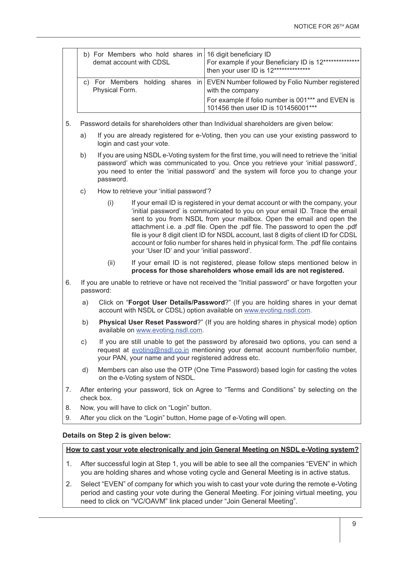| b) For Members who hold shares in 16 digit beneficiary ID<br>demat account with CDSL | For example if your Beneficiary ID is 12***************<br>then your user ID is 12**************     |
|--------------------------------------------------------------------------------------|------------------------------------------------------------------------------------------------------|
| Physical Form.                                                                       | c) For Members holding shares in EVEN Number followed by Folio Number registered<br>with the company |
|                                                                                      | For example if folio number is 001*** and EVEN is<br>101456 then user ID is 101456001***             |

- 5. Password details for shareholders other than Individual shareholders are given below:
	- a) If you are already registered for e-Voting, then you can use your existing password to login and cast your vote.
	- b) If you are using NSDL e-Voting system for the first time, you will need to retrieve the 'initial password' which was communicated to you. Once you retrieve your 'initial password', you need to enter the 'initial password' and the system will force you to change your password.
	- c) How to retrieve your 'initial password'?
		- (i) If your email ID is registered in your demat account or with the company, your 'initial password' is communicated to you on your email ID. Trace the email sent to you from NSDL from your mailbox. Open the email and open the attachment i.e. a .pdf file. Open the .pdf file. The password to open the .pdf file is your 8 digit client ID for NSDL account, last 8 digits of client ID for CDSL account or folio number for shares held in physical form. The .pdf file contains your 'User ID' and your 'initial password'.
		- (ii) If your email ID is not registered, please follow steps mentioned below in **process for those shareholders whose email ids are not registered.**
- 6. If you are unable to retrieve or have not received the "Initial password" or have forgotten your password:
	- a) Click on "**Forgot User Details/Password**?" (If you are holding shares in your demat account with NSDL or CDSL) option available on www.evoting.nsdl.com.
	- b) **Physical User Reset Password**?" (If you are holding shares in physical mode) option available on www.evoting.nsdl.com.
	- c) If you are still unable to get the password by aforesaid two options, you can send a request at evoting@nsdl.co.in mentioning your demat account number/folio number, your PAN, your name and your registered address etc.
	- d) Members can also use the OTP (One Time Password) based login for casting the votes on the e-Voting system of NSDL.
- 7. After entering your password, tick on Agree to "Terms and Conditions" by selecting on the check box.
- 8. Now, you will have to click on "Login" button.
- 9. After you click on the "Login" button, Home page of e-Voting will open.

#### **Details on Step 2 is given below:**

#### **How to cast your vote electronically and join General Meeting on NSDL e-Voting system?**

- 1. After successful login at Step 1, you will be able to see all the companies "EVEN" in which you are holding shares and whose voting cycle and General Meeting is in active status.
- 2. Select "EVEN" of company for which you wish to cast your vote during the remote e-Voting period and casting your vote during the General Meeting. For joining virtual meeting, you need to click on "VC/OAVM" link placed under "Join General Meeting".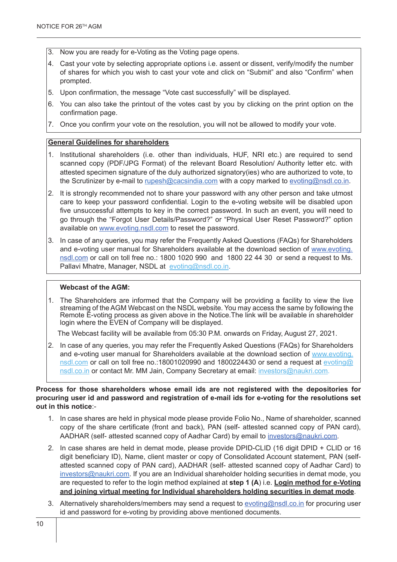- 3. Now you are ready for e-Voting as the Voting page opens.
- 4. Cast your vote by selecting appropriate options i.e. assent or dissent, verify/modify the number of shares for which you wish to cast your vote and click on "Submit" and also "Confirm" when prompted.
- 5. Upon confirmation, the message "Vote cast successfully" will be displayed.
- 6. You can also take the printout of the votes cast by you by clicking on the print option on the confirmation page.
- 7. Once you confirm your vote on the resolution, you will not be allowed to modify your vote.

#### **General Guidelines for shareholders**

- 1. Institutional shareholders (i.e. other than individuals, HUF, NRI etc.) are required to send scanned copy (PDF/JPG Format) of the relevant Board Resolution/ Authority letter etc. with attested specimen signature of the duly authorized signatory(ies) who are authorized to vote, to the Scrutinizer by e-mail to rupesh@cacsindia.com with a copy marked to evoting@nsdl.co.in.
- 2. It is strongly recommended not to share your password with any other person and take utmost care to keep your password confidential. Login to the e-voting website will be disabled upon five unsuccessful attempts to key in the correct password. In such an event, you will need to go through the "Forgot User Details/Password?" or "Physical User Reset Password?" option available on www.evoting.nsdl.com to reset the password.
- 3. In case of any queries, you may refer the Frequently Asked Questions (FAQs) for Shareholders and e-voting user manual for Shareholders available at the download section of www.evoting. nsdl.com or call on toll free no.: 1800 1020 990 and 1800 22 44 30 or send a request to Ms. Pallavi Mhatre, Manager, NSDL at evoting@nsdl.co.in.

#### **Webcast of the AGM:**

1. The Shareholders are informed that the Company will be providing a facility to view the live streaming of the AGM Webcast on the NSDL website. You may access the same by following the Remote E-voting process as given above in the Notice.The link will be available in shareholder login where the EVEN of Company will be displayed.

The Webcast facility will be available from 05:30 P.M. onwards on Friday, August 27, 2021.

2. In case of any queries, you may refer the Frequently Asked Questions (FAQs) for Shareholders and e-voting user manual for Shareholders available at the download section of www.evoting. nsdl.com or call on toll free no.:18001020990 and 1800224430 or send a request at evoting@ nsdl.co.in or contact Mr. MM Jain, Company Secretary at email: investors@naukri.com.

#### **Process for those shareholders whose email ids are not registered with the depositories for procuring user id and password and registration of e-mail ids for e-voting for the resolutions set out in this notice**:-

- 1. In case shares are held in physical mode please provide Folio No., Name of shareholder, scanned copy of the share certificate (front and back), PAN (self- attested scanned copy of PAN card), AADHAR (self- attested scanned copy of Aadhar Card) by email to investors@naukri.com.
- 2. In case shares are held in demat mode, please provide DPID-CLID (16 digit DPID + CLID or 16 digit beneficiary ID), Name, client master or copy of Consolidated Account statement, PAN (selfattested scanned copy of PAN card), AADHAR (self- attested scanned copy of Aadhar Card) to investors@naukri.com. If you are an Individual shareholder holding securities in demat mode, you are requested to refer to the login method explained at **step 1 (A**) i.e. **Login method for e-Voting and joining virtual meeting for Individual shareholders holding securities in demat mode**.
- 3. Alternatively shareholders/members may send a request to evoting@nsdl.co.in for procuring user id and password for e-voting by providing above mentioned documents.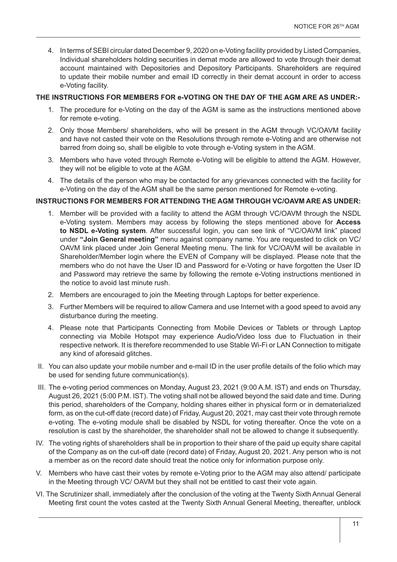4. In terms of SEBI circular dated December 9, 2020 on e-Voting facility provided by Listed Companies, Individual shareholders holding securities in demat mode are allowed to vote through their demat account maintained with Depositories and Depository Participants. Shareholders are required to update their mobile number and email ID correctly in their demat account in order to access e-Voting facility.

# **THE INSTRUCTIONS FOR MEMBERS FOR e-VOTING ON THE DAY OF THE AGM ARE AS UNDER:-**

- 1. The procedure for e-Voting on the day of the AGM is same as the instructions mentioned above for remote e-voting.
- 2. Only those Members/ shareholders, who will be present in the AGM through VC/OAVM facility and have not casted their vote on the Resolutions through remote e-Voting and are otherwise not barred from doing so, shall be eligible to vote through e-Voting system in the AGM.
- 3. Members who have voted through Remote e-Voting will be eligible to attend the AGM. However, they will not be eligible to vote at the AGM.
- 4. The details of the person who may be contacted for any grievances connected with the facility for e-Voting on the day of the AGM shall be the same person mentioned for Remote e-voting.

# **INSTRUCTIONS FOR MEMBERS FOR ATTENDING THE AGM THROUGH VC/OAVM ARE AS UNDER:**

- 1. Member will be provided with a facility to attend the AGM through VC/OAVM through the NSDL e-Voting system. Members may access by following the steps mentioned above for **Access to NSDL e-Voting system**. After successful login, you can see link of "VC/OAVM link" placed under **"Join General meeting"** menu against company name. You are requested to click on VC/ OAVM link placed under Join General Meeting menu. The link for VC/OAVM will be available in Shareholder/Member login where the EVEN of Company will be displayed. Please note that the members who do not have the User ID and Password for e-Voting or have forgotten the User ID and Password may retrieve the same by following the remote e-Voting instructions mentioned in the notice to avoid last minute rush.
- 2. Members are encouraged to join the Meeting through Laptops for better experience.
- 3. Further Members will be required to allow Camera and use Internet with a good speed to avoid any disturbance during the meeting.
- 4. Please note that Participants Connecting from Mobile Devices or Tablets or through Laptop connecting via Mobile Hotspot may experience Audio/Video loss due to Fluctuation in their respective network. It is therefore recommended to use Stable Wi-Fi or LAN Connection to mitigate any kind of aforesaid glitches.
- II. You can also update your mobile number and e-mail ID in the user profile details of the folio which may be used for sending future communication(s).
- III. The e-voting period commences on Monday, August 23, 2021 (9:00 A.M. IST) and ends on Thursday, August 26, 2021 (5:00 P.M. IST). The voting shall not be allowed beyond the said date and time. During this period, shareholders of the Company, holding shares either in physical form or in dematerialized form, as on the cut-off date (record date) of Friday, August 20, 2021, may cast their vote through remote e-voting. The e-voting module shall be disabled by NSDL for voting thereafter. Once the vote on a resolution is cast by the shareholder, the shareholder shall not be allowed to change it subsequently.
- IV. The voting rights of shareholders shall be in proportion to their share of the paid up equity share capital of the Company as on the cut-off date (record date) of Friday, August 20, 2021. Any person who is not a member as on the record date should treat the notice only for information purpose only.
- V. Members who have cast their votes by remote e-Voting prior to the AGM may also attend/ participate in the Meeting through VC/ OAVM but they shall not be entitled to cast their vote again.
- VI. The Scrutinizer shall, immediately after the conclusion of the voting at the Twenty Sixth Annual General Meeting first count the votes casted at the Twenty Sixth Annual General Meeting, thereafter, unblock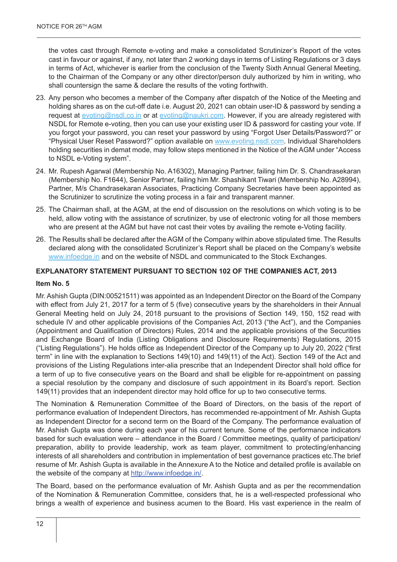the votes cast through Remote e-voting and make a consolidated Scrutinizer's Report of the votes cast in favour or against, if any, not later than 2 working days in terms of Listing Regulations or 3 days in terms of Act, whichever is earlier from the conclusion of the Twenty Sixth Annual General Meeting, to the Chairman of the Company or any other director/person duly authorized by him in writing, who shall countersign the same & declare the results of the voting forthwith.

- 23. Any person who becomes a member of the Company after dispatch of the Notice of the Meeting and holding shares as on the cut-off date i.e. August 20, 2021 can obtain user-ID & password by sending a request at evoting@nsdl.co.in or at evoting@naukri.com. However, if you are already registered with NSDL for Remote e-voting, then you can use your existing user ID & password for casting your vote. If you forgot your password, you can reset your password by using "Forgot User Details/Password?" or "Physical User Reset Password?" option available on www.evoting.nsdl.com. Individual Shareholders holding securities in demat mode, may follow steps mentioned in the Notice of the AGM under "Access to NSDL e-Voting system".
- 24. Mr. Rupesh Agarwal (Membership No. A16302), Managing Partner, failing him Dr. S. Chandrasekaran (Membership No. F1644), Senior Partner, failing him Mr. Shashikant Tiwari (Membership No. A28994), Partner, M/s Chandrasekaran Associates, Practicing Company Secretaries have been appointed as the Scrutinizer to scrutinize the voting process in a fair and transparent manner.
- 25. The Chairman shall, at the AGM, at the end of discussion on the resolutions on which voting is to be held, allow voting with the assistance of scrutinizer, by use of electronic voting for all those members who are present at the AGM but have not cast their votes by availing the remote e-Voting facility.
- 26. The Results shall be declared after the AGM of the Company within above stipulated time. The Results declared along with the consolidated Scrutinizer's Report shall be placed on the Company's website www.infoedge.in and on the website of NSDL and communicated to the Stock Exchanges.

# **EXPLANATORY STATEMENT PURSUANT TO SECTION 102 OF THE COMPANIES ACT, 2013**

#### **Item No. 5**

Mr. Ashish Gupta (DIN:00521511) was appointed as an Independent Director on the Board of the Company with effect from July 21, 2017 for a term of 5 (five) consecutive years by the shareholders in their Annual General Meeting held on July 24, 2018 pursuant to the provisions of Section 149, 150, 152 read with schedule IV and other applicable provisions of the Companies Act, 2013 ("the Act"), and the Companies (Appointment and Qualification of Directors) Rules, 2014 and the applicable provisions of the Securities and Exchange Board of India (Listing Obligations and Disclosure Requirements) Regulations, 2015 ("Listing Regulations"). He holds office as Independent Director of the Company up to July 20, 2022 ("first term" in line with the explanation to Sections 149(10) and 149(11) of the Act). Section 149 of the Act and provisions of the Listing Regulations inter-alia prescribe that an Independent Director shall hold office for a term of up to five consecutive years on the Board and shall be eligible for re-appointment on passing a special resolution by the company and disclosure of such appointment in its Board's report. Section 149(11) provides that an independent director may hold office for up to two consecutive terms.

The Nomination & Remuneration Committee of the Board of Directors, on the basis of the report of performance evaluation of Independent Directors, has recommended re-appointment of Mr. Ashish Gupta as Independent Director for a second term on the Board of the Company. The performance evaluation of Mr. Ashish Gupta was done during each year of his current tenure. Some of the performance indicators based for such evaluation were – attendance in the Board / Committee meetings, quality of participation/ preparation, ability to provide leadership, work as team player, commitment to protecting/enhancing interests of all shareholders and contribution in implementation of best governance practices etc.The brief resume of Mr. Ashish Gupta is available in the Annexure A to the Notice and detailed profile is available on the website of the company at http://www.infoedge.in/.

The Board, based on the performance evaluation of Mr. Ashish Gupta and as per the recommendation of the Nomination & Remuneration Committee, considers that, he is a well-respected professional who brings a wealth of experience and business acumen to the Board. His vast experience in the realm of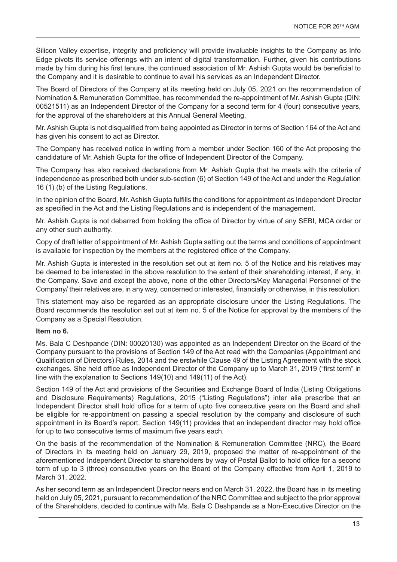Silicon Valley expertise, integrity and proficiency will provide invaluable insights to the Company as Info Edge pivots its service offerings with an intent of digital transformation. Further, given his contributions made by him during his first tenure, the continued association of Mr. Ashish Gupta would be beneficial to the Company and it is desirable to continue to avail his services as an Independent Director.

The Board of Directors of the Company at its meeting held on July 05, 2021 on the recommendation of Nomination & Remuneration Committee, has recommended the re-appointment of Mr. Ashish Gupta (DIN: 00521511) as an Independent Director of the Company for a second term for 4 (four) consecutive years, for the approval of the shareholders at this Annual General Meeting.

Mr. Ashish Gupta is not disqualified from being appointed as Director in terms of Section 164 of the Act and has given his consent to act as Director.

The Company has received notice in writing from a member under Section 160 of the Act proposing the candidature of Mr. Ashish Gupta for the office of Independent Director of the Company.

The Company has also received declarations from Mr. Ashish Gupta that he meets with the criteria of independence as prescribed both under sub-section (6) of Section 149 of the Act and under the Regulation 16 (1) (b) of the Listing Regulations.

In the opinion of the Board, Mr. Ashish Gupta fulfills the conditions for appointment as Independent Director as specified in the Act and the Listing Regulations and is independent of the management.

Mr. Ashish Gupta is not debarred from holding the office of Director by virtue of any SEBI, MCA order or any other such authority.

Copy of draft letter of appointment of Mr. Ashish Gupta setting out the terms and conditions of appointment is available for inspection by the members at the registered office of the Company.

Mr. Ashish Gupta is interested in the resolution set out at item no. 5 of the Notice and his relatives may be deemed to be interested in the above resolution to the extent of their shareholding interest, if any, in the Company. Save and except the above, none of the other Directors/Key Managerial Personnel of the Company/ their relatives are, in any way, concerned or interested, financially or otherwise, in this resolution.

This statement may also be regarded as an appropriate disclosure under the Listing Regulations. The Board recommends the resolution set out at item no. 5 of the Notice for approval by the members of the Company as a Special Resolution.

#### **Item no 6.**

Ms. Bala C Deshpande (DIN: 00020130) was appointed as an Independent Director on the Board of the Company pursuant to the provisions of Section 149 of the Act read with the Companies (Appointment and Qualification of Directors) Rules, 2014 and the erstwhile Clause 49 of the Listing Agreement with the stock exchanges. She held office as Independent Director of the Company up to March 31, 2019 ("first term" in line with the explanation to Sections 149(10) and 149(11) of the Act).

Section 149 of the Act and provisions of the Securities and Exchange Board of India (Listing Obligations and Disclosure Requirements) Regulations, 2015 ("Listing Regulations") inter alia prescribe that an Independent Director shall hold office for a term of upto five consecutive years on the Board and shall be eligible for re-appointment on passing a special resolution by the company and disclosure of such appointment in its Board's report. Section 149(11) provides that an independent director may hold office for up to two consecutive terms of maximum five years each.

On the basis of the recommendation of the Nomination & Remuneration Committee (NRC), the Board of Directors in its meeting held on January 29, 2019, proposed the matter of re-appointment of the aforementioned Independent Director to shareholders by way of Postal Ballot to hold office for a second term of up to 3 (three) consecutive years on the Board of the Company effective from April 1, 2019 to March 31, 2022.

As her second term as an Independent Director nears end on March 31, 2022, the Board has in its meeting held on July 05, 2021, pursuant to recommendation of the NRC Committee and subject to the prior approval of the Shareholders, decided to continue with Ms. Bala C Deshpande as a Non-Executive Director on the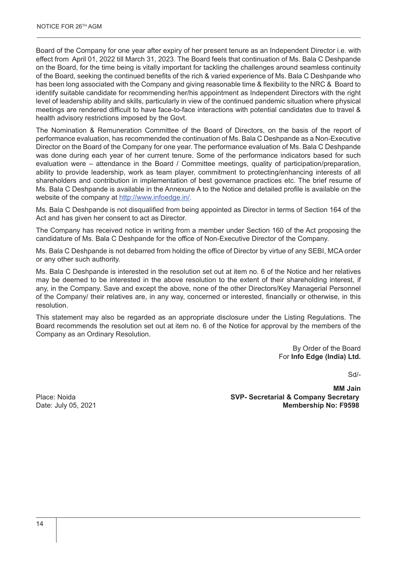Board of the Company for one year after expiry of her present tenure as an Independent Director i.e. with effect from April 01, 2022 till March 31, 2023. The Board feels that continuation of Ms. Bala C Deshpande on the Board, for the time being is vitally important for tackling the challenges around seamless continuity of the Board, seeking the continued benefits of the rich & varied experience of Ms. Bala C Deshpande who has been long associated with the Company and giving reasonable time & flexibility to the NRC & Board to identify suitable candidate for recommending her/his appointment as Independent Directors with the right level of leadership ability and skills, particularly in view of the continued pandemic situation where physical meetings are rendered difficult to have face-to-face interactions with potential candidates due to travel & health advisory restrictions imposed by the Govt.

The Nomination & Remuneration Committee of the Board of Directors, on the basis of the report of performance evaluation, has recommended the continuation of Ms. Bala C Deshpande as a Non-Executive Director on the Board of the Company for one year. The performance evaluation of Ms. Bala C Deshpande was done during each year of her current tenure. Some of the performance indicators based for such evaluation were – attendance in the Board / Committee meetings, quality of participation/preparation, ability to provide leadership, work as team player, commitment to protecting/enhancing interests of all shareholders and contribution in implementation of best governance practices etc. The brief resume of Ms. Bala C Deshpande is available in the Annexure A to the Notice and detailed profile is available on the website of the company at http://www.infoedge.in/.

Ms. Bala C Deshpande is not disqualified from being appointed as Director in terms of Section 164 of the Act and has given her consent to act as Director.

The Company has received notice in writing from a member under Section 160 of the Act proposing the candidature of Ms. Bala C Deshpande for the office of Non-Executive Director of the Company.

Ms. Bala C Deshpande is not debarred from holding the office of Director by virtue of any SEBI, MCA order or any other such authority.

Ms. Bala C Deshpande is interested in the resolution set out at item no. 6 of the Notice and her relatives may be deemed to be interested in the above resolution to the extent of their shareholding interest, if any, in the Company. Save and except the above, none of the other Directors/Key Managerial Personnel of the Company/ their relatives are, in any way, concerned or interested, financially or otherwise, in this resolution.

This statement may also be regarded as an appropriate disclosure under the Listing Regulations. The Board recommends the resolution set out at item no. 6 of the Notice for approval by the members of the Company as an Ordinary Resolution.

> By Order of the Board For **Info Edge (India) Ltd.**

> > Sd/-

**MM Jain**  Place: Noida **SVP- Secretarial & Company Secretary Membership No: F9598**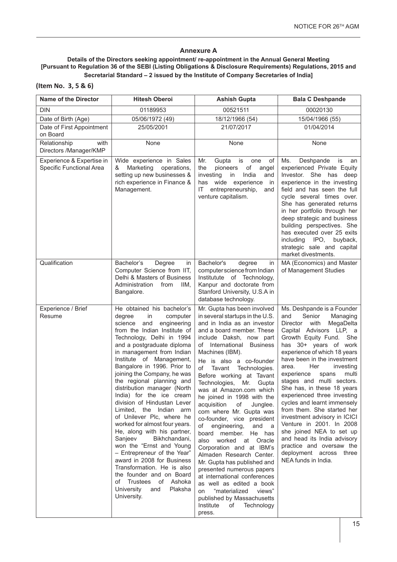# **Annexure A**

#### **Details of the Directors seeking appointment/ re-appointment in the Annual General Meeting [Pursuant to Regulation 36 of the SEBI (Listing Obligations & Disclosure Requirements) Regulations, 2015 and Secretarial Standard – 2 issued by the Institute of Company Secretaries of India]**

| (Item No. 3, 5 & 6) |  |  |  |
|---------------------|--|--|--|
|---------------------|--|--|--|

| <b>Name of the Director</b>                           | <b>Hitesh Oberoi</b>                                                                                                                                                                                                                                                                                                                                                                                                                                                                                                                                                                                                                                                                                                                                                                                               | <b>Ashish Gupta</b>                                                                                                                                                                                                                                                                                                                                                                                                                                                                                                                                                                                                                                                                                                                                                                                                                                                 | <b>Bala C Deshpande</b>                                                                                                                                                                                                                                                                                                                                                                                                                                                                                                                                                                                                                                         |
|-------------------------------------------------------|--------------------------------------------------------------------------------------------------------------------------------------------------------------------------------------------------------------------------------------------------------------------------------------------------------------------------------------------------------------------------------------------------------------------------------------------------------------------------------------------------------------------------------------------------------------------------------------------------------------------------------------------------------------------------------------------------------------------------------------------------------------------------------------------------------------------|---------------------------------------------------------------------------------------------------------------------------------------------------------------------------------------------------------------------------------------------------------------------------------------------------------------------------------------------------------------------------------------------------------------------------------------------------------------------------------------------------------------------------------------------------------------------------------------------------------------------------------------------------------------------------------------------------------------------------------------------------------------------------------------------------------------------------------------------------------------------|-----------------------------------------------------------------------------------------------------------------------------------------------------------------------------------------------------------------------------------------------------------------------------------------------------------------------------------------------------------------------------------------------------------------------------------------------------------------------------------------------------------------------------------------------------------------------------------------------------------------------------------------------------------------|
| <b>DIN</b>                                            | 01189953                                                                                                                                                                                                                                                                                                                                                                                                                                                                                                                                                                                                                                                                                                                                                                                                           | 00521511                                                                                                                                                                                                                                                                                                                                                                                                                                                                                                                                                                                                                                                                                                                                                                                                                                                            | 00020130                                                                                                                                                                                                                                                                                                                                                                                                                                                                                                                                                                                                                                                        |
| Date of Birth (Age)                                   | 05/06/1972 (49)                                                                                                                                                                                                                                                                                                                                                                                                                                                                                                                                                                                                                                                                                                                                                                                                    | 18/12/1966 (54)                                                                                                                                                                                                                                                                                                                                                                                                                                                                                                                                                                                                                                                                                                                                                                                                                                                     | 15/04/1966 (55)                                                                                                                                                                                                                                                                                                                                                                                                                                                                                                                                                                                                                                                 |
| Date of First Appointment<br>on Board                 | 25/05/2001                                                                                                                                                                                                                                                                                                                                                                                                                                                                                                                                                                                                                                                                                                                                                                                                         | 21/07/2017                                                                                                                                                                                                                                                                                                                                                                                                                                                                                                                                                                                                                                                                                                                                                                                                                                                          | 01/04/2014                                                                                                                                                                                                                                                                                                                                                                                                                                                                                                                                                                                                                                                      |
| Relationship<br>with<br>Directors /Manager/KMP        | None                                                                                                                                                                                                                                                                                                                                                                                                                                                                                                                                                                                                                                                                                                                                                                                                               | None                                                                                                                                                                                                                                                                                                                                                                                                                                                                                                                                                                                                                                                                                                                                                                                                                                                                | None                                                                                                                                                                                                                                                                                                                                                                                                                                                                                                                                                                                                                                                            |
| Experience & Expertise in<br>Specific Functional Area | Wide experience in Sales<br>&<br>Marketing<br>operations,<br>setting up new businesses &<br>rich experience in Finance &<br>Management.                                                                                                                                                                                                                                                                                                                                                                                                                                                                                                                                                                                                                                                                            | Mr.<br>Gupta<br>is<br>of<br>one<br>the<br>pioneers<br>of<br>angel<br>India<br>investing<br>in<br>and<br>wide<br>experience<br>has<br>in<br>ΙT<br>entrepreneurship,<br>and<br>venture capitalism.                                                                                                                                                                                                                                                                                                                                                                                                                                                                                                                                                                                                                                                                    | Ms.<br>Deshpande<br>is<br>an<br>experienced Private Equity<br>Investor. She has deep<br>experience in the investing<br>field and has seen the full<br>cycle several times over.<br>She has generated returns<br>in her portfolio through her<br>deep strategic and business<br>building perspectives. She<br>has executed over 25 exits<br>buyback,<br>including<br>IPO,<br>strategic sale and capital<br>market divestments.                                                                                                                                                                                                                                   |
| Qualification                                         | Bachelor's<br>Degree<br>in<br>Computer Science from IIT,<br>Delhi & Masters of Business<br>Administration<br>from<br>IIM.<br>Bangalore.                                                                                                                                                                                                                                                                                                                                                                                                                                                                                                                                                                                                                                                                            | Bachelor's<br>degree<br>in<br>computer science from Indian<br>Institutute of Technology,<br>Kanpur and doctorate from<br>Stanford University, U.S.A in<br>database technology.                                                                                                                                                                                                                                                                                                                                                                                                                                                                                                                                                                                                                                                                                      | MA (Economics) and Master<br>of Management Studies                                                                                                                                                                                                                                                                                                                                                                                                                                                                                                                                                                                                              |
| Experience / Brief<br>Resume                          | He obtained his bachelor's<br>degree<br>in<br>computer<br>science<br>and<br>engineering<br>from the Indian Institute of<br>Technology, Delhi in 1994<br>and a postgraduate diploma<br>in management from Indian<br>Institute of Management,<br>Bangalore in 1996. Prior to<br>joining the Company, he was<br>the regional planning and<br>distribution manager (North<br>India) for the ice cream<br>division of Hindustan Lever<br>Limited, the Indian arm<br>of Unilever Plc, where he<br>worked for almost four years.<br>He, along with his partner,<br>Sanjeev<br>Bikhchandani,<br>won the "Ernst and Young<br>- Entrepreneur of the Year"<br>award in 2008 for Business<br>Transformation. He is also<br>the founder and on Board<br>Trustees of Ashoka<br>of<br>University<br>Plaksha<br>and<br>University. | Mr. Gupta has been involved<br>in several startups in the U.S.<br>and in India as an investor<br>and a board member. These<br>include Daksh, now part<br>of International Business<br>Machines (IBM).<br>He is also a co-founder<br>of<br>Tavant<br>Technologies.<br>Before working at Tavant<br>Technologies,<br>Gupta<br>Mr.<br>was at Amazon.com which<br>he joined in 1998 with the<br>acquisition<br>of<br>Junglee.<br>com where Mr. Gupta was<br>co-founder, vice president<br>of engineering,<br>and<br>- a<br>board member.<br>He has<br>also worked<br>at Oracle<br>Corporation and at IBM's<br>Almaden Research Center.<br>Mr. Gupta has published and<br>presented numerous papers<br>at international conferences<br>as well as edited a book<br>views"<br>"materialized<br>on<br>published by Massachusetts<br>Technology<br>Institute<br>of<br>press. | Ms. Deshpande is a Founder<br>Senior<br>Managing<br>and<br>with<br>MegaDelta<br>Director<br>Capital Advisors LLP, a<br>Growth Equity Fund. She<br>has 30+ years of work<br>experience of which 18 years<br>have been in the investment<br>Her<br>investing<br>area.<br>experience<br>spans<br>multi<br>stages and multi sectors.<br>She has, in these 18 years<br>experienced three investing<br>cycles and learnt immensely<br>from them. She started her<br>investment advisory in ICICI<br>Venture in 2001. In 2008<br>she joined NEA to set up<br>and head its India advisory<br>practice and oversaw the<br>deployment across three<br>NEA funds in India. |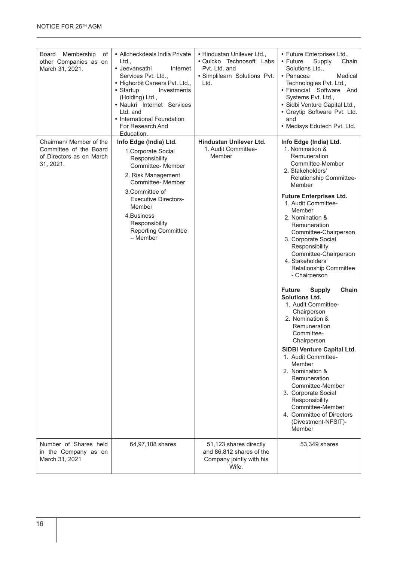| Membership<br>Board<br>оf<br>other Companies as on<br>March 31, 2021.                      | • Allcheckdeals India Private<br>Ltd.,<br>• Jeevansathi<br>Internet<br>Services Pvt. Ltd.,<br>• Highorbit Careers Pvt. Ltd.,<br>• Startup<br>Investments<br>(Holding) Ltd.,<br>• Naukri Internet Services<br>Ltd. and<br>• International Foundation<br>For Research And<br>Education. | • Hindustan Unilever Ltd.,<br>• Quicko Technosoft Labs<br>Pyt. Ltd. and<br>· Simplilearn Solutions Pvt.<br>Ltd. | • Future Enterprises Ltd.,<br>• Future<br>Supply<br>Chain<br>Solutions Ltd.,<br>• Panacea<br>Medical<br>Technologies Pvt. Ltd.,<br>• Financial Software And<br>Systems Pvt. Ltd.,<br>· Sidbi Venture Capital Ltd.,<br>• Greytip Software Pvt. Ltd.<br>and<br>• Medisys Edutech Pvt. Ltd.                                                                                                                                                                                                                                                                                                                                                                                                                                                                                                                                                 |
|--------------------------------------------------------------------------------------------|---------------------------------------------------------------------------------------------------------------------------------------------------------------------------------------------------------------------------------------------------------------------------------------|-----------------------------------------------------------------------------------------------------------------|------------------------------------------------------------------------------------------------------------------------------------------------------------------------------------------------------------------------------------------------------------------------------------------------------------------------------------------------------------------------------------------------------------------------------------------------------------------------------------------------------------------------------------------------------------------------------------------------------------------------------------------------------------------------------------------------------------------------------------------------------------------------------------------------------------------------------------------|
| Chairman/ Member of the<br>Committee of the Board<br>of Directors as on March<br>31, 2021. | Info Edge (India) Ltd.<br>1. Corporate Social<br>Responsibility<br>Committee- Member<br>2. Risk Management<br>Committee- Member<br>3.Committee of<br><b>Executive Directors-</b><br>Member<br>4. Business<br>Responsibility<br><b>Reporting Committee</b><br>- Member                 | Hindustan Unilever Ltd.<br>1. Audit Committee-<br>Member                                                        | Info Edge (India) Ltd.<br>1. Nomination &<br>Remuneration<br>Committee-Member<br>2. Stakeholders'<br>Relationship Committee-<br>Member<br><b>Future Enterprises Ltd.</b><br>1. Audit Committee-<br>Member<br>2. Nomination &<br>Remuneration<br>Committee-Chairperson<br>3. Corporate Social<br>Responsibility<br>Committee-Chairperson<br>4. Stakeholders'<br>Relationship Committee<br>- Chairperson<br><b>Future</b><br><b>Supply</b><br>Chain<br><b>Solutions Ltd.</b><br>1. Audit Committee-<br>Chairperson<br>2. Nomination &<br>Remuneration<br>Committee-<br>Chairperson<br><b>SIDBI Venture Capital Ltd.</b><br>1. Audit Committee-<br>Member<br>2. Nomination &<br>Remuneration<br>Committee-Member<br>3. Corporate Social<br>Responsibility<br>Committee-Member<br>4. Committee of Directors<br>(Divestment-NFSIT)-<br>Member |
| Number of Shares held<br>in the Company as on<br>March 31, 2021                            | 64,97,108 shares                                                                                                                                                                                                                                                                      | 51,123 shares directly<br>and 86,812 shares of the<br>Company jointly with his<br>Wife.                         | 53,349 shares                                                                                                                                                                                                                                                                                                                                                                                                                                                                                                                                                                                                                                                                                                                                                                                                                            |